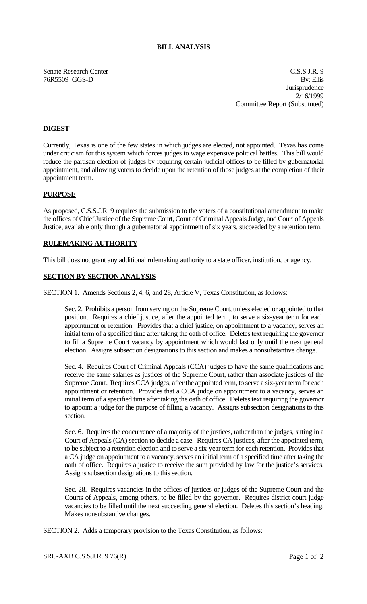# **BILL ANALYSIS**

Senate Research Center Cassach Center C.S.S.J.R. 9 76R5509 GGS-D By: Ellis **Jurisprudence** 2/16/1999 Committee Report (Substituted)

# **DIGEST**

Currently, Texas is one of the few states in which judges are elected, not appointed. Texas has come under criticism for this system which forces judges to wage expensive political battles. This bill would reduce the partisan election of judges by requiring certain judicial offices to be filled by gubernatorial appointment, and allowing voters to decide upon the retention of those judges at the completion of their appointment term.

### **PURPOSE**

As proposed, C.S.S.J.R. 9 requires the submission to the voters of a constitutional amendment to make the offices of Chief Justice of the Supreme Court, Court of Criminal Appeals Judge, and Court of Appeals Justice, available only through a gubernatorial appointment of six years, succeeded by a retention term.

# **RULEMAKING AUTHORITY**

This bill does not grant any additional rulemaking authority to a state officer, institution, or agency.

### **SECTION BY SECTION ANALYSIS**

SECTION 1. Amends Sections 2, 4, 6, and 28, Article V, Texas Constitution, as follows:

Sec. 2. Prohibits a person from serving on the Supreme Court, unless elected or appointed to that position. Requires a chief justice, after the appointed term, to serve a six-year term for each appointment or retention. Provides that a chief justice, on appointment to a vacancy, serves an initial term of a specified time after taking the oath of office. Deletes text requiring the governor to fill a Supreme Court vacancy by appointment which would last only until the next general election. Assigns subsection designations to this section and makes a nonsubstantive change.

Sec. 4. Requires Court of Criminal Appeals (CCA) judges to have the same qualifications and receive the same salaries as justices of the Supreme Court, rather than associate justices of the Supreme Court. Requires CCA judges, after the appointed term, to serve a six-year term for each appointment or retention. Provides that a CCA judge on appointment to a vacancy, serves an initial term of a specified time after taking the oath of office. Deletes text requiring the governor to appoint a judge for the purpose of filling a vacancy. Assigns subsection designations to this section.

Sec. 6. Requires the concurrence of a majority of the justices, rather than the judges, sitting in a Court of Appeals (CA) section to decide a case. Requires CA justices, after the appointed term, to be subject to a retention election and to serve a six-year term for each retention. Provides that a CA judge on appointment to a vacancy, serves an initial term of a specified time after taking the oath of office. Requires a justice to receive the sum provided by law for the justice's services. Assigns subsection designations to this section.

Sec. 28. Requires vacancies in the offices of justices or judges of the Supreme Court and the Courts of Appeals, among others, to be filled by the governor. Requires district court judge vacancies to be filled until the next succeeding general election. Deletes this section's heading. Makes nonsubstantive changes.

SECTION 2. Adds a temporary provision to the Texas Constitution, as follows: